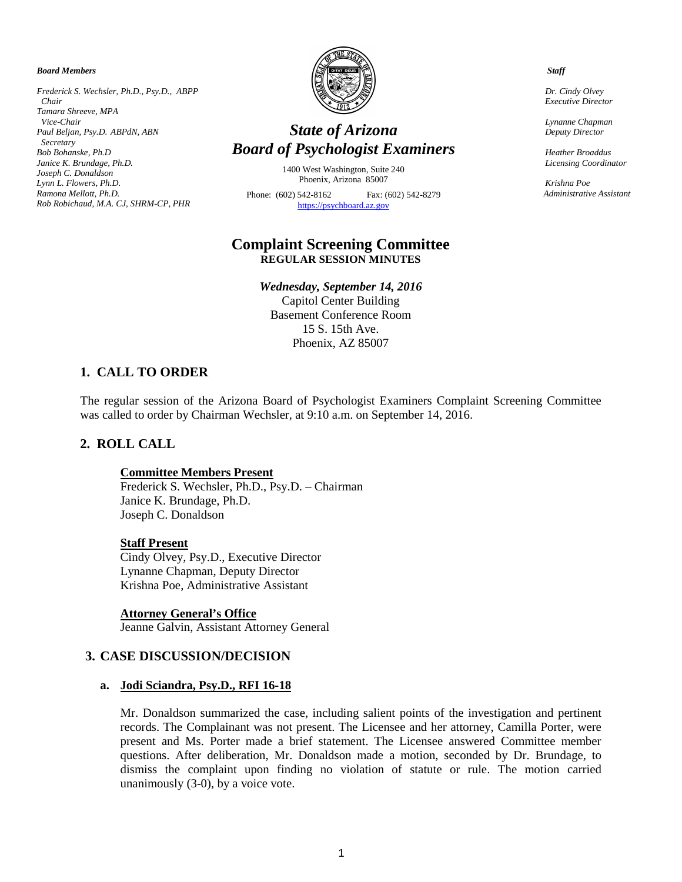*Board Members*

*Frederick S. Wechsler, Ph.D., Psy.D., ABPP Chair Tamara Shreeve, MPA Vice-Chair Paul Beljan, Psy.D. ABPdN, ABN Secretary Bob Bohanske, Ph.D Janice K. Brundage, Ph.D. Joseph C. Donaldson Lynn L. Flowers, Ph.D. Ramona Mellott, Ph.D. Rob Robichaud, M.A. CJ, SHRM-CP, PHR*



# *State of Arizona Board of Psychologist Examiners*

1400 West Washington, Suite 240 Phoenix, Arizona 85007

Phone: (602) 542-8162 Fax: (602) 542-8279 [https://psychboard.az.gov](https://psychboard.az.gov/)

# **Complaint Screening Committee REGULAR SESSION MINUTES**

*Wednesday, September 14, 2016* Capitol Center Building

Basement Conference Room 15 S. 15th Ave. Phoenix, AZ 85007

### **1. CALL TO ORDER**

The regular session of the Arizona Board of Psychologist Examiners Complaint Screening Committee was called to order by Chairman Wechsler, at 9:10 a.m. on September 14, 2016.

### **2. ROLL CALL**

#### **Committee Members Present**

Frederick S. Wechsler, Ph.D., Psy.D. – Chairman Janice K. Brundage, Ph.D. Joseph C. Donaldson

#### **Staff Present**

Cindy Olvey, Psy.D., Executive Director Lynanne Chapman, Deputy Director Krishna Poe, Administrative Assistant

**Attorney General's Office** Jeanne Galvin, Assistant Attorney General

### **3. CASE DISCUSSION/DECISION**

#### **a. Jodi Sciandra, Psy.D., RFI 16-18**

Mr. Donaldson summarized the case, including salient points of the investigation and pertinent records. The Complainant was not present. The Licensee and her attorney, Camilla Porter, were present and Ms. Porter made a brief statement. The Licensee answered Committee member questions. After deliberation, Mr. Donaldson made a motion, seconded by Dr. Brundage, to dismiss the complaint upon finding no violation of statute or rule. The motion carried unanimously (3-0), by a voice vote.

 *Staff*

 *Dr. Cindy Olvey Executive Director*

 *Lynanne Chapman Deputy Director*

 *Heather Broaddus Licensing Coordinator* 

 *Krishna Poe Administrative Assistant*